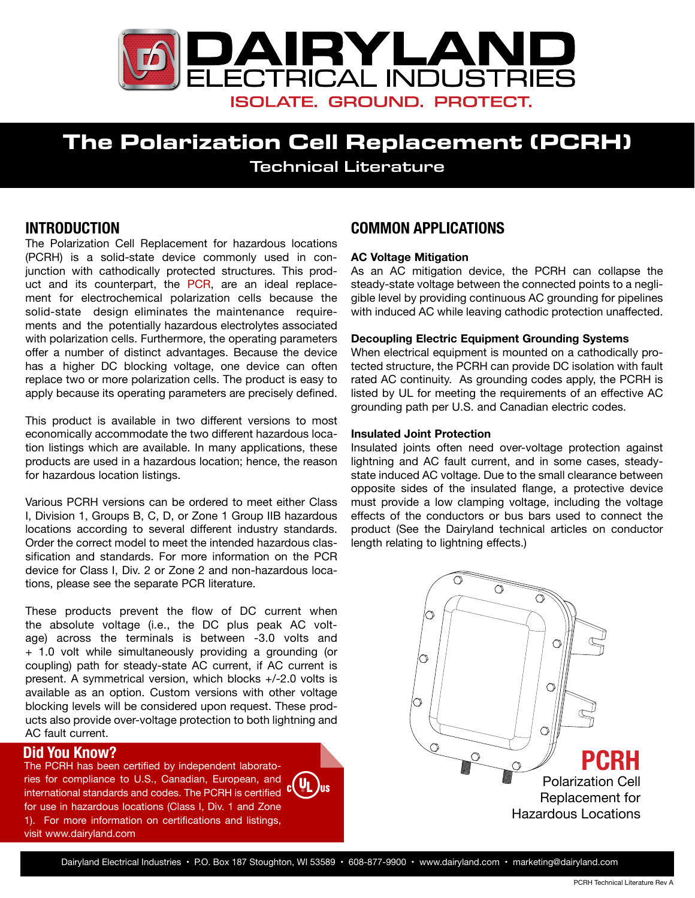

# **The Polarization Cell Replacement (PCRH)** Technical Literature

## **INTRODUCTION**

The Polarization Cell Replacement for hazardous locations (PCRH) is a solid-state device commonly used in conjunction with cathodically protected structures. This product and its counterpart, the [PCR,](http://www.dairyland.com/products/pcr) are an ideal replacement for electrochemical polarization cells because the solid-state design eliminates the maintenance requirements and the potentially hazardous electrolytes associated with polarization cells. Furthermore, the operating parameters offer a number of distinct advantages. Because the device has a higher DC blocking voltage, one device can often replace two or more polarization cells. The product is easy to apply because its operating parameters are precisely defined.

This product is available in two different versions to most economically accommodate the two different hazardous location listings which are available. In many applications, these products are used in a hazardous location; hence, the reason for hazardous location listings.

Various PCRH versions can be ordered to meet either Class I, Division 1, Groups B, C, D, or Zone 1 Group IIB hazardous locations according to several different industry standards. Order the correct model to meet the intended hazardous classification and standards. For more information on the PCR device for Class I, Div. 2 or Zone 2 and non-hazardous locations, please see the separate PCR literature.

These products prevent the flow of DC current when the absolute voltage (i.e., the DC plus peak AC voltage) across the terminals is between -3.0 volts and + 1.0 volt while simultaneously providing a grounding (or coupling) path for steady-state AC current, if AC current is present. A symmetrical version, which blocks +/-2.0 volts is available as an option. Custom versions with other voltage blocking levels will be considered upon request. These products also provide over-voltage protection to both lightning and AC fault current.

ries for compliance to U.S., Canadian, European, and international standards and codes. The PCRH is certified C for use in hazardous locations (Class I, Div. 1 and Zone 1). For more information on certifications and listings, visit www.dairyland.com

## **COMMON APPLICATIONS**

#### **AC Voltage Mitigation**

As an AC mitigation device, the PCRH can collapse the steady-state voltage between the connected points to a negligible level by providing continuous AC grounding for pipelines with induced AC while leaving cathodic protection unaffected.

#### **Decoupling Electric Equipment Grounding Systems**

When electrical equipment is mounted on a cathodically protected structure, the PCRH can provide DC isolation with fault rated AC continuity. As grounding codes apply, the PCRH is listed by UL for meeting the requirements of an effective AC grounding path per U.S. and Canadian electric codes.

#### **Insulated Joint Protection**

Insulated joints often need over-voltage protection against lightning and AC fault current, and in some cases, steadystate induced AC voltage. Due to the small clearance between opposite sides of the insulated flange, a protective device must provide a low clamping voltage, including the voltage effects of the conductors or bus bars used to connect the product (See the Dairyland technical articles on conductor length relating to lightning effects.)

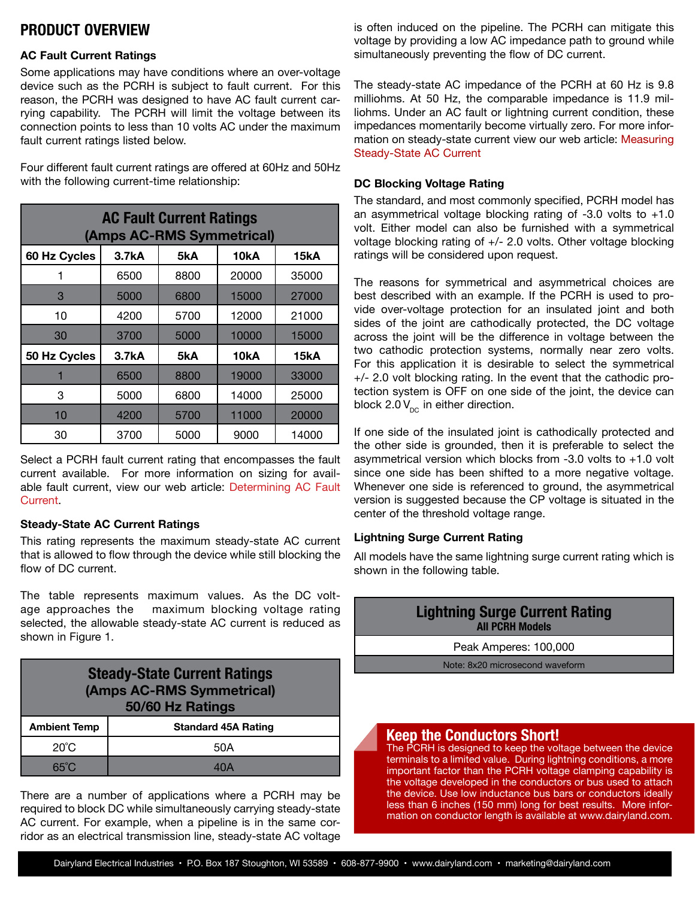## **PRODUCT OVERVIEW**

#### **AC Fault Current Ratings**

Some applications may have conditions where an over-voltage device such as the PCRH is subject to fault current. For this reason, the PCRH was designed to have AC fault current carrying capability. The PCRH will limit the voltage between its connection points to less than 10 volts AC under the maximum fault current ratings listed below.

Four different fault current ratings are offered at 60Hz and 50Hz with the following current-time relationship:

| <b>AC Fault Current Ratings</b><br>(Amps AC-RMS Symmetrical) |       |      |       |       |  |  |  |  |
|--------------------------------------------------------------|-------|------|-------|-------|--|--|--|--|
| 60 Hz Cycles                                                 | 3.7kA | 5kA  | 10kA  | 15kA  |  |  |  |  |
|                                                              | 6500  | 8800 | 20000 | 35000 |  |  |  |  |
| 3                                                            | 5000  | 6800 | 15000 | 27000 |  |  |  |  |
| 10                                                           | 4200  | 5700 | 12000 | 21000 |  |  |  |  |
| 30                                                           | 3700  | 5000 | 10000 | 15000 |  |  |  |  |
| 50 Hz Cycles                                                 | 3.7kA | 5kA  | 10kA  | 15kA  |  |  |  |  |
|                                                              | 6500  | 8800 | 19000 | 33000 |  |  |  |  |
| 3                                                            | 5000  | 6800 | 14000 | 25000 |  |  |  |  |
| 10                                                           | 4200  | 5700 | 11000 | 20000 |  |  |  |  |
| 30                                                           | 3700  | 5000 | 9000  | 14000 |  |  |  |  |

Select a PCRH fault current rating that encompasses the fault current available. For more information on sizing for available fault current, view our web article: [Determining AC Fault](http://www.dairyland.com/tech-blog/19-technical-articles/39-determining-ac-fault-current) [Current](http://www.dairyland.com/tech-blog/19-technical-articles/39-determining-ac-fault-current).

#### **Steady-State AC Current Ratings**

This rating represents the maximum steady-state AC current that is allowed to flow through the device while still blocking the flow of DC current.

The table represents maximum values. As the DC voltage approaches the maximum blocking voltage rating selected, the allowable steady-state AC current is reduced as shown in Figure 1.

| <b>Steady-State Current Ratings</b><br>(Amps AC-RMS Symmetrical)<br>50/60 Hz Ratings |                            |  |  |  |
|--------------------------------------------------------------------------------------|----------------------------|--|--|--|
| <b>Ambient Temp</b>                                                                  | <b>Standard 45A Rating</b> |  |  |  |
| $20^{\circ}$ C                                                                       | 50A                        |  |  |  |
| $65^{\circ}$ C                                                                       |                            |  |  |  |

There are a number of applications where a PCRH may be required to block DC while simultaneously carrying steady-state AC current. For example, when a pipeline is in the same corridor as an electrical transmission line, steady-state AC voltage

is often induced on the pipeline. The PCRH can mitigate this voltage by providing a low AC impedance path to ground while simultaneously preventing the flow of DC current.

The steady-state AC impedance of the PCRH at 60 Hz is 9.8 milliohms. At 50 Hz, the comparable impedance is 11.9 milliohms. Under an AC fault or lightning current condition, these impedances momentarily become virtually zero. For more information on steady-state current view our web article: [Measuring](http://www.dairyland.com/tech-blog/19-technical-articles/38-measuring-induced-ac) [Steady-State AC Current](http://www.dairyland.com/tech-blog/19-technical-articles/38-measuring-induced-ac)

## **DC Blocking Voltage Rating**

The standard, and most commonly specified, PCRH model has an asymmetrical voltage blocking rating of  $-3.0$  volts to  $+1.0$ volt. Either model can also be furnished with a symmetrical voltage blocking rating of +/- 2.0 volts. Other voltage blocking ratings will be considered upon request.

The reasons for symmetrical and asymmetrical choices are best described with an example. If the PCRH is used to provide over-voltage protection for an insulated joint and both sides of the joint are cathodically protected, the DC voltage across the joint will be the difference in voltage between the two cathodic protection systems, normally near zero volts. For this application it is desirable to select the symmetrical +/- 2.0 volt blocking rating. In the event that the cathodic protection system is OFF on one side of the joint, the device can block 2.0  $V_{\text{DC}}$  in either direction.

If one side of the insulated joint is cathodically protected and the other side is grounded, then it is preferable to select the asymmetrical version which blocks from  $-3.0$  volts to  $+1.0$  volt since one side has been shifted to a more negative voltage. Whenever one side is referenced to ground, the asymmetrical version is suggested because the CP voltage is situated in the center of the threshold voltage range.

## **Lightning Surge Current Rating**

All models have the same lightning surge current rating which is shown in the following table.



less than 6 inches (150 mm) long for best results. More information on conductor length is available at www.dairyland.com.

Dairyland Electrical Industries • P.O. Box 187 Stoughton, WI 53589 • 608-877-9900 • www.dairyland.com • marketing@dairyland.com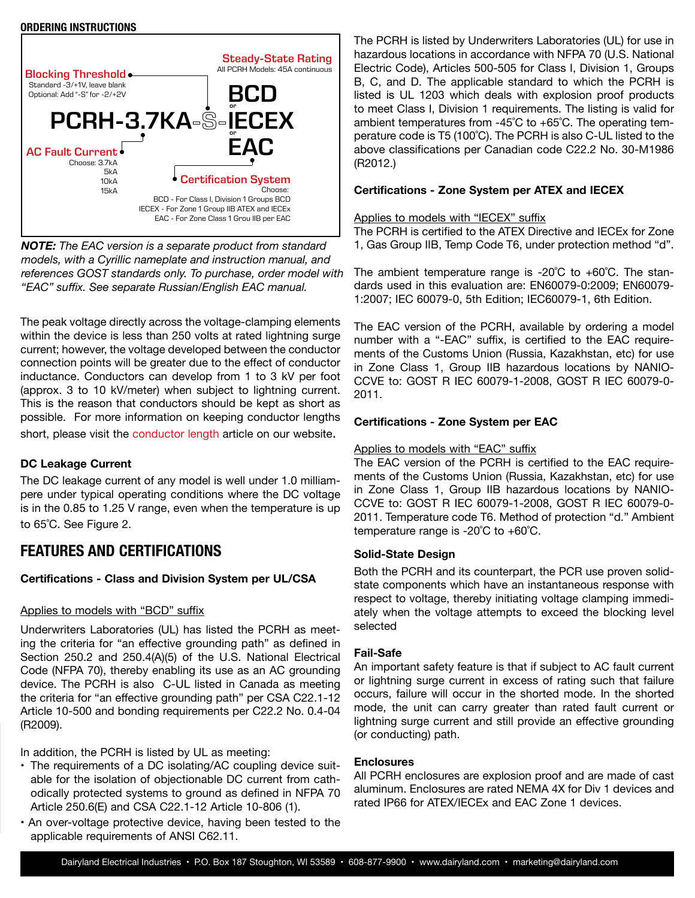#### **ORDERING INSTRUCTIONS**



*NOTE: The EAC version is a separate product from standard models, with a Cyrillic nameplate and instruction manual, and references GOST standards only. To purchase, order model with "EAC" suffix. See separate Russian/English EAC manual.*

The peak voltage directly across the voltage-clamping elements within the device is less than 250 volts at rated lightning surge current; however, the voltage developed between the conductor connection points will be greater due to the effect of conductor inductance. Conductors can develop from 1 to 3 kV per foot (approx. 3 to 10 kV/meter) when subject to lightning current. This is the reason that conductors should be kept as short as possible. For more information on keeping conductor lengths short, please visit the conductor [length](http://www.dairyland.com/tech-blog/19-technical-articles/35-lightning-surge-current-effect-on-over-voltage-protection) article on our website.

#### **DC Leakage Current**

The DC leakage current of any model is well under 1.0 milliampere under typical operating conditions where the DC voltage is in the 0.85 to 1.25 V range, even when the temperature is up to 65˚C. See Figure 2.

## **FEATURES AND CERTIFICATIONS**

#### **Certifications - Class and Division System per UL/CSA**

#### Applies to models with "BCD" suffix

Underwriters Laboratories (UL) has listed the PCRH as meeting the criteria for "an effective grounding path" as defined in Section 250.2 and 250.4(A)(5) of the U.S. National Electrical Code (NFPA 70), thereby enabling its use as an AC grounding device. The PCRH is also C-UL listed in Canada as meeting the criteria for "an effective grounding path" per CSA C22.1-12 Article 10-500 and bonding requirements per C22.2 No. 0.4-04 (R2009).

In addition, the PCRH is listed by UL as meeting:

- The requirements of a DC isolating/AC coupling device suitable for the isolation of objectionable DC current from cathodically protected systems to ground as defined in NFPA 70 Article 250.6(E) and CSA C22.1-12 Article 10-806 (1).
- An over-voltage protective device, having been tested to the applicable requirements of ANSI C62.11.

The PCRH is listed by Underwriters Laboratories (UL) for use in hazardous locations in accordance with NFPA 70 (U.S. National Electric Code), Articles 500-505 for Class I, Division 1, Groups B, C, and D. The applicable standard to which the PCRH is listed is UL 1203 which deals with explosion proof products to meet Class I, Division 1 requirements. The listing is valid for ambient temperatures from -45˚C to +65˚C. The operating temperature code is T5 (100˚C). The PCRH is also C-UL listed to the above classifications per Canadian code C22.2 No. 30-M1986 (R2012.)

#### **Certifications - Zone System per ATEX and IECEX**

#### Applies to models with "IECEX" suffix

The PCRH is certified to the ATEX Directive and IECEx for Zone 1, Gas Group IIB, Temp Code T6, under protection method "d".

The ambient temperature range is  $-20^{\circ}$ C to  $+60^{\circ}$ C. The standards used in this evaluation are: EN60079-0:2009; EN60079- 1:2007; IEC 60079-0, 5th Edition; IEC60079-1, 6th Edition.

The EAC version of the PCRH, available by ordering a model number with a "-EAC" suffix, is certified to the EAC requirements of the Customs Union (Russia, Kazakhstan, etc) for use in Zone Class 1, Group IIB hazardous locations by NANIO-CCVE to: GOST R IEC 60079-1-2008, GOST R IEC 60079-0- 2011.

#### **Certifications - Zone System per EAC**

#### Applies to models with "EAC" suffix

The EAC version of the PCRH is certified to the EAC requirements of the Customs Union (Russia, Kazakhstan, etc) for use in Zone Class 1, Group IIB hazardous locations by NANIO-CCVE to: GOST R IEC 60079-1-2008, GOST R IEC 60079-0- 2011. Temperature code T6. Method of protection "d." Ambient temperature range is -20˚C to +60˚C.

#### **Solid-State Design**

Both the PCRH and its counterpart, the PCR use proven solidstate components which have an instantaneous response with respect to voltage, thereby initiating voltage clamping immediately when the voltage attempts to exceed the blocking level selected

#### **Fail-Safe**

An important safety feature is that if subject to AC fault current or lightning surge current in excess of rating such that failure occurs, failure will occur in the shorted mode. In the shorted mode, the unit can carry greater than rated fault current or lightning surge current and still provide an effective grounding (or conducting) path.

#### **Enclosures**

All PCRH enclosures are explosion proof and are made of cast aluminum. Enclosures are rated NEMA 4X for Div 1 devices and rated IP66 for ATEX/IECEx and EAC Zone 1 devices.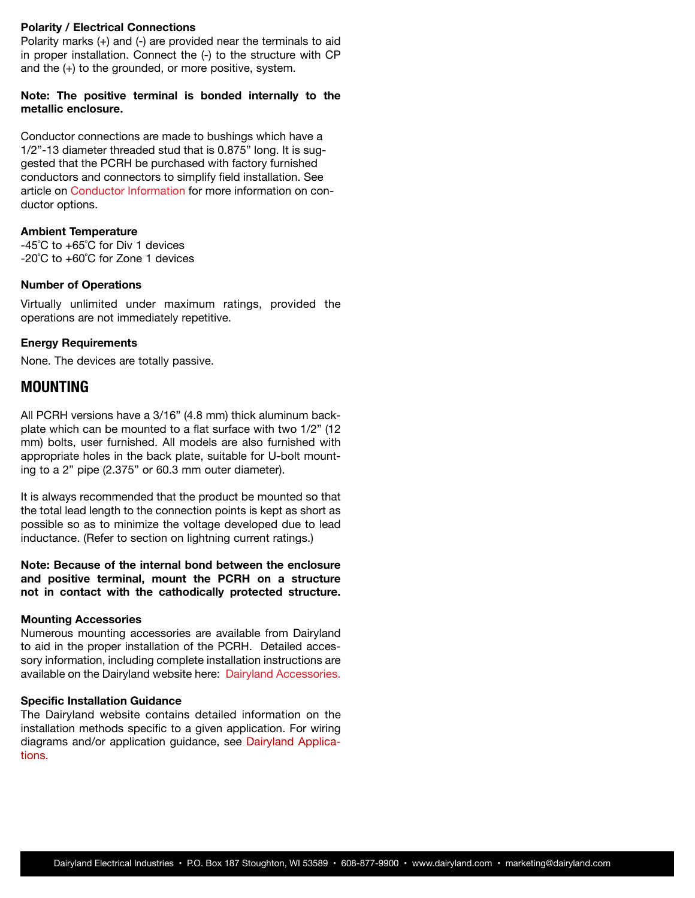#### **Polarity / Electrical Connections**

Polarity marks (+) and (-) are provided near the terminals to aid in proper installation. Connect the (-) to the structure with CP and the (+) to the grounded, or more positive, system.

#### **Note: The positive terminal is bonded internally to the metallic enclosure.**

Conductor connections are made to bushings which have a 1/2"-13 diameter threaded stud that is 0.875" long. It is suggested that the PCRH be purchased with factory furnished conductors and connectors to simplify field installation. See article on [Conductor Information](http://www.dairyland.com/products/accessories/product/43-acl-18-racl-18) for more information on conductor options.

#### **Ambient Temperature**

-45˚C to +65˚C for Div 1 devices -20˚C to +60˚C for Zone 1 devices

#### **Number of Operations**

Virtually unlimited under maximum ratings, provided the operations are not immediately repetitive.

#### **Energy Requirements**

None. The devices are totally passive.

### **MOUNTING**

All PCRH versions have a 3/16" (4.8 mm) thick aluminum backplate which can be mounted to a flat surface with two 1/2" (12 mm) bolts, user furnished. All models are also furnished with appropriate holes in the back plate, suitable for U-bolt mounting to a 2" pipe (2.375" or 60.3 mm outer diameter).

It is always recommended that the product be mounted so that the total lead length to the connection points is kept as short as possible so as to minimize the voltage developed due to lead inductance. (Refer to section on lightning current ratings.)

**Note: Because of the internal bond between the enclosure and positive terminal, mount the PCRH on a structure not in contact with the cathodically protected structure.**

#### **Mounting Accessories**

Numerous mounting accessories are available from Dairyland to aid in the proper installation of the PCRH. Detailed accessory information, including complete installation instructions are available on the Dairyland website here: [Dairyland Accessories.](http://www.dairyland.com/accessories)

#### **Specific Installation Guidance**

The Dairyland website contains detailed information on the installation methods specific to a given application. For wiring diagrams and/or application guidance, see [Dairyland Applica](http://www.dairyland.com/applications)[tions.](http://www.dairyland.com/applications)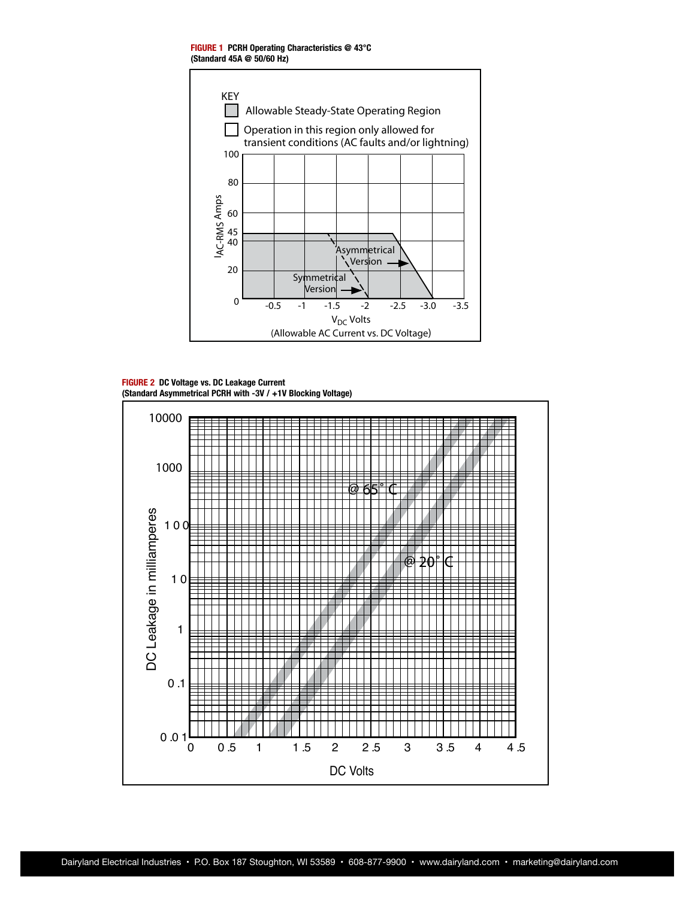**FIGURE 1 PCRH Operating Characteristics @ 43°C (Standard 45A @ 50/60 Hz)**



**FIGURE 2 DC Voltage vs. DC Leakage Current (Standard Asymmetrical PCRH with -3V / +1V Blocking Voltage)**

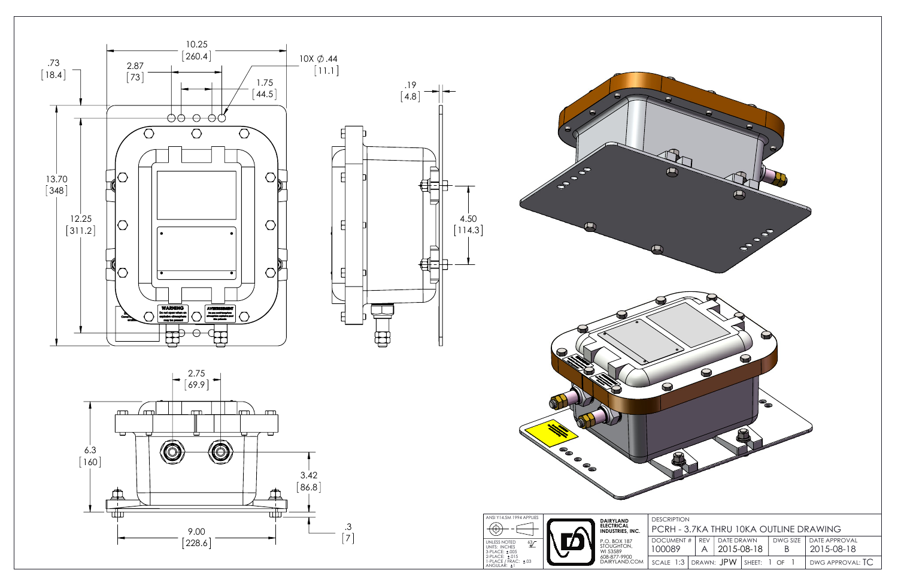

| 8<br>$\blacklozenge$<br>$\bullet$<br>$\blacklozenge$<br>ſЦ                                                                                                                                                                                                                            | <b>SO SO SO</b><br>r                                                                                                                                                                                                                                |
|---------------------------------------------------------------------------------------------------------------------------------------------------------------------------------------------------------------------------------------------------------------------------------------|-----------------------------------------------------------------------------------------------------------------------------------------------------------------------------------------------------------------------------------------------------|
| E.<br>$\bullet$<br>$\bullet$<br>$\bullet$                                                                                                                                                                                                                                             | $\bullet$<br>$\Theta$<br>$\mathbf Q$<br>$\bullet$<br>$\boldsymbol{\Omega}$<br>Ø                                                                                                                                                                     |
| ANSI Y14.5M 1994 APPLIES<br>DAIRYLAND<br>ELECTRICAL<br>INDUSTRIES, INC.<br>P.O. BOX 187<br>STOUGHTON,<br>WI 53589<br>608-877-9900<br>DAIRYLAND.COM<br>UNLESS NOTED 63<br>UNITS: INCHES 5<br>3-PLACE: ±.005<br>2-PLACE: ±.015<br>1-PLACE / FRAC: ±.03<br>ANGULAR: ±1<br>$\frac{63}{2}$ | <b>DESCRIPTION</b><br>PCRH - 3.7KA THRU 10KA OUTLINE DRAWING<br>DATE DRAWN<br>DWG SIZE<br>DATE APPROVAL<br>DOCUMENT #<br>REV<br>100089<br>2015-08-18<br>2015-08-18<br>B<br>A<br>DRAWN: JPW<br>DWG APPROVAL: TC<br>SCALE 1:3<br>$1$ OF $1$<br>SHEET: |